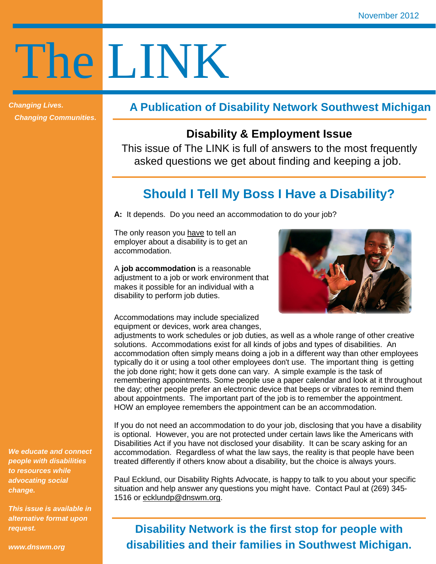# The LINK

**Changing Lives. Changing Communities.** 

### **A Publication of Disability Network Southwest Michigan**

## **Disability & Employment Issue**

This issue of The LINK is full of answers to the most frequently asked questions we get about finding and keeping a job.

# **Should I Tell My Boss I Have a Disability?**

**A:** It depends. Do you need an accommodation to do your job?

The only reason you have to tell an employer about a disability is to get an accommodation.

A **job accommodation** is a reasonable adjustment to a job or work environment that makes it possible for an individual with a disability to perform job duties.

Accommodations may include specialized equipment or devices, work area changes,



adjustments to work schedules or job duties, as well as a whole range of other creative solutions. Accommodations exist for all kinds of jobs and types of disabilities. An accommodation often simply means doing a job in a different way than other employees typically do it or using a tool other employees don't use. The important thing is getting the job done right; how it gets done can vary. A simple example is the task of remembering appointments. Some people use a paper calendar and look at it throughout the day; other people prefer an electronic device that beeps or vibrates to remind them about appointments. The important part of the job is to remember the appointment. HOW an employee remembers the appointment can be an accommodation.

If you do not need an accommodation to do your job, disclosing that you have a disability is optional. However, you are not protected under certain laws like the Americans with Disabilities Act if you have not disclosed your disability. It can be scary asking for an accommodation. Regardless of what the law says, the reality is that people have been treated differently if others know about a disability, but the choice is always yours.

Paul Ecklund, our Disability Rights Advocate, is happy to talk to you about your specific situation and help answer any questions you might have. Contact Paul at (269) 345- 1516 or ecklundp@dnswm.org.

# **Disability Network is the first stop for people with disabilities and their families in Southwest Michigan.**

**We educate and connect people with disabilities to resources while advocating social change.** 

**This issue is available in alternative format upon request.** 

**www.dnswm.org**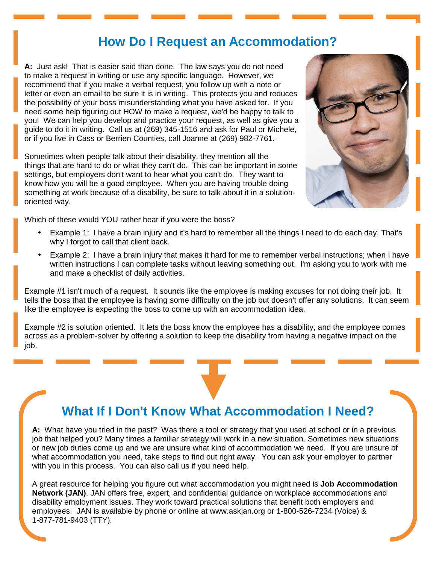## **How Do I Request an Accommodation?**

**A:** Just ask! That is easier said than done. The law says you do not need to make a request in writing or use any specific language. However, we recommend that if you make a verbal request, you follow up with a note or letter or even an email to be sure it is in writing. This protects you and reduces the possibility of your boss misunderstanding what you have asked for. If you need some help figuring out HOW to make a request, we'd be happy to talk to you! We can help you develop and practice your request, as well as give you a guide to do it in writing. Call us at (269) 345-1516 and ask for Paul or Michele, or if you live in Cass or Berrien Counties, call Joanne at (269) 982-7761.

Sometimes when people talk about their disability, they mention all the things that are hard to do or what they can't do. This can be important in some settings, but employers don't want to hear what you can't do. They want to know how you will be a good employee. When you are having trouble doing something at work because of a disability, be sure to talk about it in a solutionoriented way.



Which of these would YOU rather hear if you were the boss?

- Example 1: I have a brain injury and it's hard to remember all the things I need to do each day. That's why I forgot to call that client back.
- Example 2: I have a brain injury that makes it hard for me to remember verbal instructions; when I have written instructions I can complete tasks without leaving something out. I'm asking you to work with me and make a checklist of daily activities.

Example #1 isn't much of a request. It sounds like the employee is making excuses for not doing their job. It tells the boss that the employee is having some difficulty on the job but doesn't offer any solutions. It can seem like the employee is expecting the boss to come up with an accommodation idea.

Example #2 is solution oriented. It lets the boss know the employee has a disability, and the employee comes across as a problem-solver by offering a solution to keep the disability from having a negative impact on the job.

# **What If I Don't Know What Accommodation I Need?**

**A:** What have you tried in the past? Was there a tool or strategy that you used at school or in a previous job that helped you? Many times a familiar strategy will work in a new situation. Sometimes new situations or new job duties come up and we are unsure what kind of accommodation we need. If you are unsure of what accommodation you need, take steps to find out right away. You can ask your employer to partner with you in this process. You can also call us if you need help.

A great resource for helping you figure out what accommodation you might need is **Job Accommodation Network (JAN)**. JAN offers free, expert, and confidential guidance on workplace accommodations and disability employment issues. They work toward practical solutions that benefit both employers and employees. JAN is available by phone or online at www.askjan.org or 1-800-526-7234 (Voice) & 1-877-781-9403 (TTY).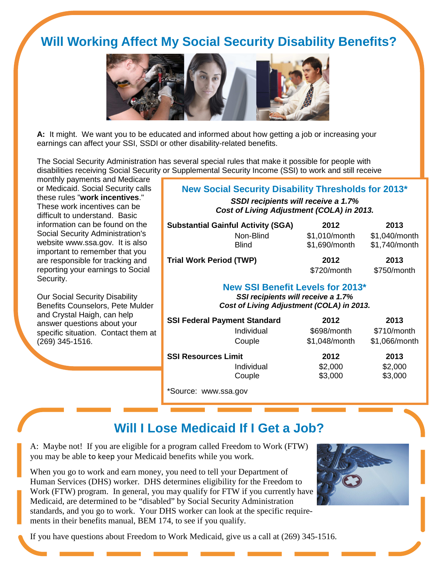# **Will Working Affect My Social Security Disability Benefits?**



**A:** It might. We want you to be educated and informed about how getting a job or increasing your earnings can affect your SSI, SSDI or other disability-related benefits.

The Social Security Administration has several special rules that make it possible for people with disabilities receiving Social Security or Supplemental Security Income (SSI) to work and still receive

monthly payments and Medicare or Medicaid. Social Security calls these rules "**work incentives**." These work incentives can be difficult to understand. Basic information can be found on the Social Security Administration's website www.ssa.gov. It is also important to remember that you are responsible for tracking and reporting your earnings to Social Security.

Our Social Security Disability Benefits Counselors, Pete Mulder and Crystal Haigh, can help answer questions about your specific situation. Contact them at (269) 345-1516.

#### **New Social Security Disability Thresholds for 2013\***

**SSDI recipients will receive a 1.7% Cost of Living Adjustment (COLA) in 2013.**

| <b>Substantial Gainful Activity (SGA)</b> |              | 2012          | 2013          |
|-------------------------------------------|--------------|---------------|---------------|
|                                           | Non-Blind    | \$1,010/month | \$1,040/month |
|                                           | <b>Blind</b> | \$1,690/month | \$1,740/month |
| <b>Trial Work Period (TWP)</b>            |              | 2012          | 2013          |
|                                           |              | $$720/m$ onth | $$750/m$ onth |

#### **New SSI Benefit Levels for 2013\***

**SSI recipients will receive a 1.7% Cost of Living Adjustment (COLA) in 2013.**

| <b>SSI Federal Payment Standard</b> | 2012          | 2013          |
|-------------------------------------|---------------|---------------|
| Individual                          | \$698/month   | \$710/month   |
| Couple                              | \$1,048/month | \$1,066/month |
| <b>SSI Resources Limit</b>          | 2012          | 2013          |
| Individual                          | \$2,000       | \$2,000       |
| Couple                              | \$3,000       | \$3,000       |
|                                     |               |               |

Source: www.ssa.gov

# **Will I Lose Medicaid If I Get a Job?**

A: Maybe not! If you are eligible for a program called Freedom to Work (FTW) you may be able to keep your Medicaid benefits while you work.

When you go to work and earn money, you need to tell your Department of Human Services (DHS) worker. DHS determines eligibility for the Freedom to Work (FTW) program. In general, you may qualify for FTW if you currently have Medicaid, are determined to be "disabled" by Social Security Administration standards, and you go to work. Your DHS worker can look at the specific requirements in their benefits manual, BEM 174, to see if you qualify.



If you have questions about Freedom to Work Medicaid, give us a call at (269) 345-1516.